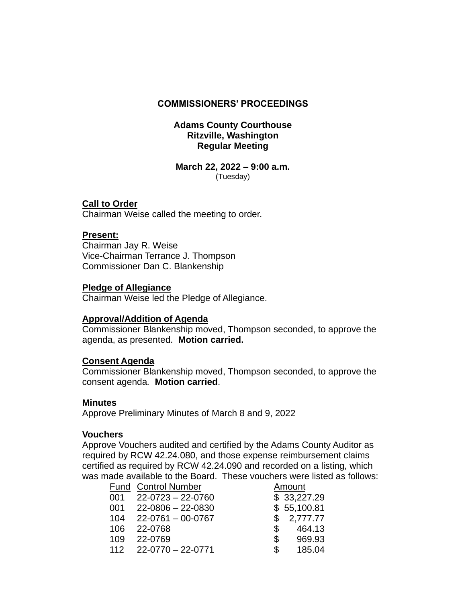# **COMMISSIONERS' PROCEEDINGS**

# **Adams County Courthouse Ritzville, Washington Regular Meeting**

#### **March 22, 2022 – 9:00 a.m.** (Tuesday)

# **Call to Order**

Chairman Weise called the meeting to order.

# **Present:**

Chairman Jay R. Weise Vice-Chairman Terrance J. Thompson Commissioner Dan C. Blankenship

# **Pledge of Allegiance**

Chairman Weise led the Pledge of Allegiance.

## **Approval/Addition of Agenda**

Commissioner Blankenship moved, Thompson seconded, to approve the agenda, as presented. **Motion carried.**

## **Consent Agenda**

Commissioner Blankenship moved, Thompson seconded, to approve the consent agenda*.* **Motion carried**.

## **Minutes**

Approve Preliminary Minutes of March 8 and 9, 2022

## **Vouchers**

Approve Vouchers audited and certified by the Adams County Auditor as required by RCW 42.24.080, and those expense reimbursement claims certified as required by RCW 42.24.090 and recorded on a listing, which was made available to the Board. These vouchers were listed as follows:

|     | <b>Fund Control Number</b> | Amount        |
|-----|----------------------------|---------------|
| 001 | 22-0723 - 22-0760          | \$33,227.29   |
|     | $001$ 22-0806 - 22-0830    | \$55,100.81   |
| 104 | 22-0761 - 00-0767          | 2,777.77<br>S |
| 106 | 22-0768                    | 464.13<br>\$  |
| 109 | 22-0769                    | 969.93<br>\$  |
|     | $112$ $22-0770-22-0771$    | 185.04<br>\$  |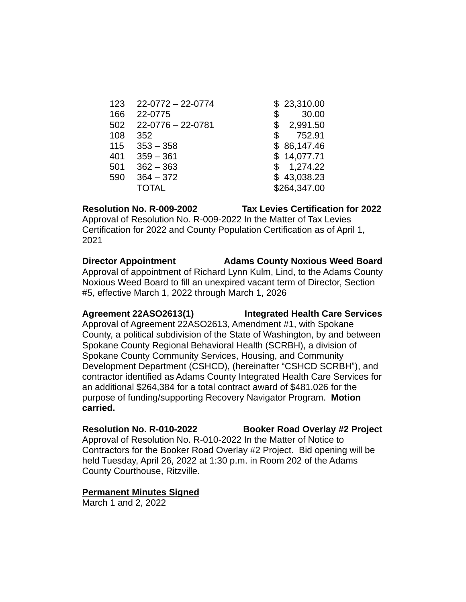| 123 | $22-0772 - 22-0774$     | \$23,310.00    |
|-----|-------------------------|----------------|
| 166 | 22-0775                 | \$<br>30.00    |
| 502 | $22 - 0776 - 22 - 0781$ | \$<br>2,991.50 |
| 108 | 352                     | \$<br>752.91   |
| 115 | $353 - 358$             | \$86,147.46    |
| 401 | $359 - 361$             | \$14,077.71    |
| 501 | $362 - 363$             | \$<br>1,274.22 |
| 590 | $364 - 372$             | \$43,038.23    |
|     | <b>TOTAL</b>            | \$264,347.00   |
|     |                         |                |

Approval of Resolution No. R-009-2022 In the Matter of Tax Levies Certification for 2022 and County Population Certification as of April 1, 2021

**Director Appointment Adams County Noxious Weed Board** Approval of appointment of Richard Lynn Kulm, Lind, to the Adams County Noxious Weed Board to fill an unexpired vacant term of Director, Section #5, effective March 1, 2022 through March 1, 2026

# **Agreement 22ASO2613(1) Integrated Health Care Services**

Approval of Agreement 22ASO2613, Amendment #1, with Spokane County, a political subdivision of the State of Washington, by and between Spokane County Regional Behavioral Health (SCRBH), a division of Spokane County Community Services, Housing, and Community Development Department (CSHCD), (hereinafter "CSHCD SCRBH"), and contractor identified as Adams County Integrated Health Care Services for an additional \$264,384 for a total contract award of \$481,026 for the purpose of funding/supporting Recovery Navigator Program. **Motion carried.**

# **Resolution No. R-010-2022 Booker Road Overlay #2 Project** Approval of Resolution No. R-010-2022 In the Matter of Notice to Contractors for the Booker Road Overlay #2 Project. Bid opening will be held Tuesday, April 26, 2022 at 1:30 p.m. in Room 202 of the Adams

County Courthouse, Ritzville.

# **Permanent Minutes Signed**

March 1 and 2, 2022

# **Resolution No. R-009-2002 Tax Levies Certification for 2022**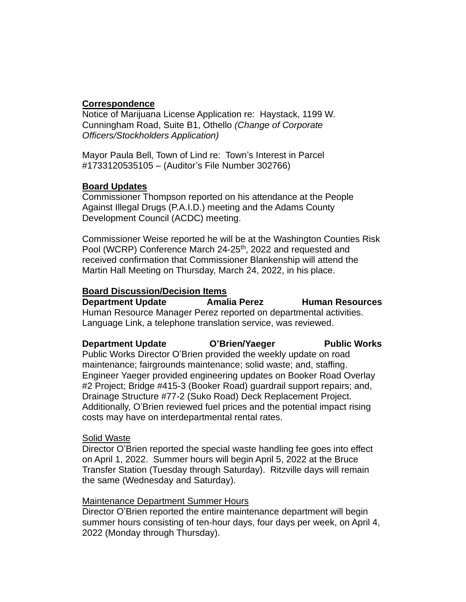# **Correspondence**

Notice of Marijuana License Application re: Haystack, 1199 W. Cunningham Road, Suite B1, Othello *(Change of Corporate Officers/Stockholders Application)*

Mayor Paula Bell, Town of Lind re: Town's Interest in Parcel #1733120535105 – (Auditor's File Number 302766)

# **Board Updates**

Commissioner Thompson reported on his attendance at the People Against Illegal Drugs (P.A.I.D.) meeting and the Adams County Development Council (ACDC) meeting.

Commissioner Weise reported he will be at the Washington Counties Risk Pool (WCRP) Conference March 24-25<sup>th</sup>, 2022 and requested and received confirmation that Commissioner Blankenship will attend the Martin Hall Meeting on Thursday, March 24, 2022, in his place.

# **Board Discussion/Decision Items**

**Department Update Amalia Perez Human Resources** Human Resource Manager Perez reported on departmental activities. Language Link, a telephone translation service, was reviewed.

# **Department Update C'Brien/Yaeger Public Works**

Public Works Director O'Brien provided the weekly update on road maintenance; fairgrounds maintenance; solid waste; and, staffing. Engineer Yaeger provided engineering updates on Booker Road Overlay #2 Project; Bridge #415-3 (Booker Road) guardrail support repairs; and, Drainage Structure #77-2 (Suko Road) Deck Replacement Project. Additionally, O'Brien reviewed fuel prices and the potential impact rising costs may have on interdepartmental rental rates.

# Solid Waste

Director O'Brien reported the special waste handling fee goes into effect on April 1, 2022. Summer hours will begin April 5, 2022 at the Bruce Transfer Station (Tuesday through Saturday). Ritzville days will remain the same (Wednesday and Saturday).

# Maintenance Department Summer Hours

Director O'Brien reported the entire maintenance department will begin summer hours consisting of ten-hour days, four days per week, on April 4, 2022 (Monday through Thursday).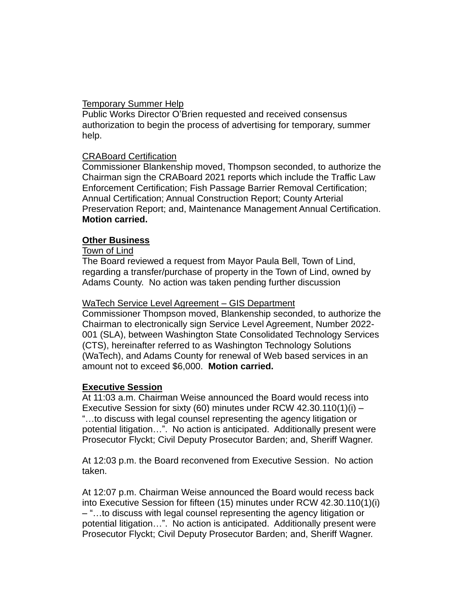# Temporary Summer Help

Public Works Director O'Brien requested and received consensus authorization to begin the process of advertising for temporary, summer help.

# CRABoard Certification

Commissioner Blankenship moved, Thompson seconded, to authorize the Chairman sign the CRABoard 2021 reports which include the Traffic Law Enforcement Certification; Fish Passage Barrier Removal Certification; Annual Certification; Annual Construction Report; County Arterial Preservation Report; and, Maintenance Management Annual Certification. **Motion carried.**

# **Other Business**

# Town of Lind

The Board reviewed a request from Mayor Paula Bell, Town of Lind, regarding a transfer/purchase of property in the Town of Lind, owned by Adams County. No action was taken pending further discussion

## WaTech Service Level Agreement – GIS Department

Commissioner Thompson moved, Blankenship seconded, to authorize the Chairman to electronically sign Service Level Agreement, Number 2022- 001 (SLA), between Washington State Consolidated Technology Services (CTS), hereinafter referred to as Washington Technology Solutions (WaTech), and Adams County for renewal of Web based services in an amount not to exceed \$6,000. **Motion carried.**

## **Executive Session**

At 11:03 a.m. Chairman Weise announced the Board would recess into Executive Session for sixty (60) minutes under RCW 42.30.110(1)(i) – "…to discuss with legal counsel representing the agency litigation or potential litigation…". No action is anticipated. Additionally present were Prosecutor Flyckt; Civil Deputy Prosecutor Barden; and, Sheriff Wagner.

At 12:03 p.m. the Board reconvened from Executive Session. No action taken.

At 12:07 p.m. Chairman Weise announced the Board would recess back into Executive Session for fifteen (15) minutes under RCW 42.30.110(1)(i) – "…to discuss with legal counsel representing the agency litigation or potential litigation…". No action is anticipated. Additionally present were Prosecutor Flyckt; Civil Deputy Prosecutor Barden; and, Sheriff Wagner.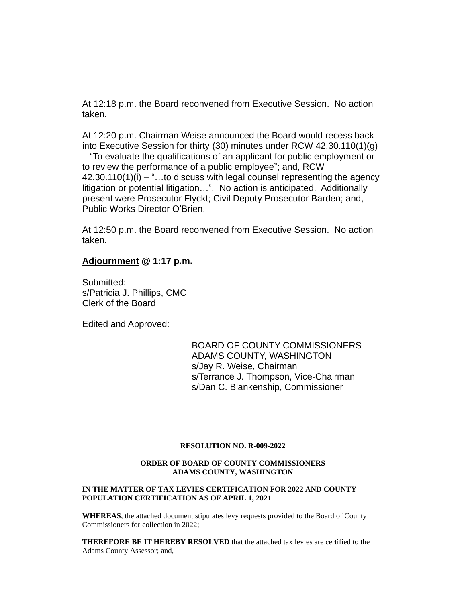At 12:18 p.m. the Board reconvened from Executive Session. No action taken.

At 12:20 p.m. Chairman Weise announced the Board would recess back into Executive Session for thirty (30) minutes under RCW 42.30.110(1)(g) – "To evaluate the qualifications of an applicant for public employment or to review the performance of a public employee"; and, RCW  $42.30.110(1)(i) -$ "...to discuss with legal counsel representing the agency litigation or potential litigation…". No action is anticipated. Additionally present were Prosecutor Flyckt; Civil Deputy Prosecutor Barden; and, Public Works Director O'Brien.

At 12:50 p.m. the Board reconvened from Executive Session. No action taken.

#### **Adjournment @ 1:17 p.m.**

Submitted: s/Patricia J. Phillips, CMC Clerk of the Board

Edited and Approved:

BOARD OF COUNTY COMMISSIONERS ADAMS COUNTY, WASHINGTON s/Jay R. Weise, Chairman s/Terrance J. Thompson, Vice-Chairman s/Dan C. Blankenship, Commissioner

#### **RESOLUTION NO. R-009-2022**

#### **ORDER OF BOARD OF COUNTY COMMISSIONERS ADAMS COUNTY, WASHINGTON**

#### **IN THE MATTER OF TAX LEVIES CERTIFICATION FOR 2022 AND COUNTY POPULATION CERTIFICATION AS OF APRIL 1, 2021**

**WHEREAS**, the attached document stipulates levy requests provided to the Board of County Commissioners for collection in 2022;

**THEREFORE BE IT HEREBY RESOLVED** that the attached tax levies are certified to the Adams County Assessor; and,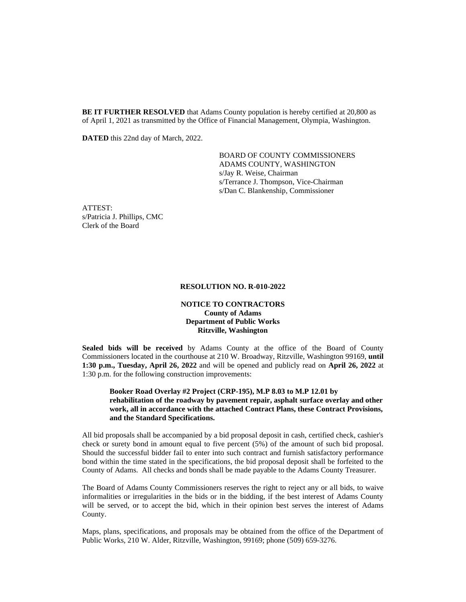**BE IT FURTHER RESOLVED** that Adams County population is hereby certified at 20,800 as of April 1, 2021 as transmitted by the Office of Financial Management, Olympia, Washington.

**DATED** this 22nd day of March, 2022.

BOARD OF COUNTY COMMISSIONERS ADAMS COUNTY, WASHINGTON s/Jay R. Weise, Chairman s/Terrance J. Thompson, Vice-Chairman s/Dan C. Blankenship, Commissioner

ATTEST: s/Patricia J. Phillips, CMC Clerk of the Board

#### **RESOLUTION NO. R-010-2022**

#### **NOTICE TO CONTRACTORS County of Adams Department of Public Works Ritzville, Washington**

**Sealed bids will be received** by Adams County at the office of the Board of County Commissioners located in the courthouse at 210 W. Broadway, Ritzville, Washington 99169, **until 1:30 p.m., Tuesday, April 26, 2022** and will be opened and publicly read on **April 26, 2022** at 1:30 p.m. for the following construction improvements:

#### **Booker Road Overlay #2 Project (CRP-195), M.P 8.03 to M.P 12.01 by rehabilitation of the roadway by pavement repair, asphalt surface overlay and other work, all in accordance with the attached Contract Plans, these Contract Provisions, and the Standard Specifications.**

All bid proposals shall be accompanied by a bid proposal deposit in cash, certified check, cashier's check or surety bond in amount equal to five percent (5%) of the amount of such bid proposal. Should the successful bidder fail to enter into such contract and furnish satisfactory performance bond within the time stated in the specifications, the bid proposal deposit shall be forfeited to the County of Adams. All checks and bonds shall be made payable to the Adams County Treasurer.

The Board of Adams County Commissioners reserves the right to reject any or all bids, to waive informalities or irregularities in the bids or in the bidding, if the best interest of Adams County will be served, or to accept the bid, which in their opinion best serves the interest of Adams County.

Maps, plans, specifications, and proposals may be obtained from the office of the Department of Public Works, 210 W. Alder, Ritzville, Washington, 99169; phone (509) 659-3276.